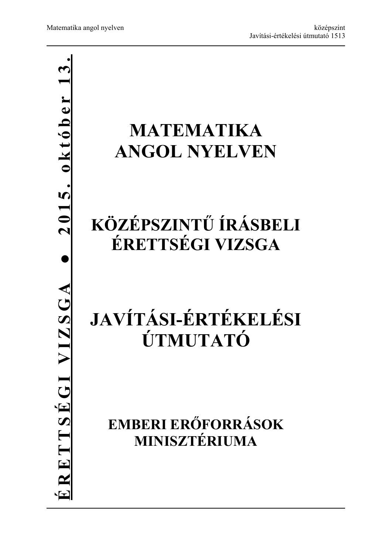# **MATEMATIKA ANGOL NYELVEN KÖZÉPSZINTŰ ÍRÁSBELI ÉRETTSÉGI VIZSGA JAVÍTÁSI-ÉRTÉKELÉSI ÚTMUTATÓ EMBERI ERŐFORRÁSOK MINISZTÉRIUMA**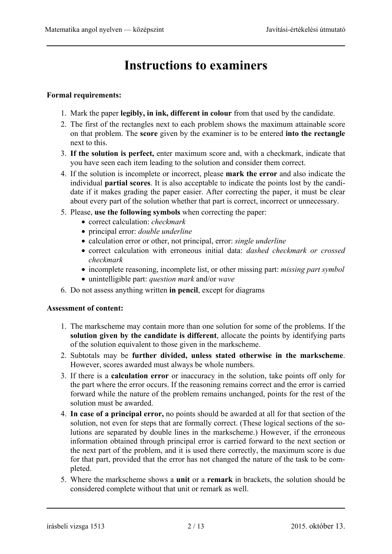# **Instructions to examiners**

#### **Formal requirements:**

- 1. Mark the paper **legibly, in ink, different in colour** from that used by the candidate.
- 2. The first of the rectangles next to each problem shows the maximum attainable score on that problem. The **score** given by the examiner is to be entered **into the rectangle**  next to this.
- 3. **If the solution is perfect,** enter maximum score and, with a checkmark, indicate that you have seen each item leading to the solution and consider them correct.
- 4. If the solution is incomplete or incorrect, please **mark the error** and also indicate the individual **partial scores**. It is also acceptable to indicate the points lost by the candidate if it makes grading the paper easier. After correcting the paper, it must be clear about every part of the solution whether that part is correct, incorrect or unnecessary.
- 5. Please, **use the following symbols** when correcting the paper:
	- correct calculation: *checkmark*
	- principal error: *double underline*
	- calculation error or other, not principal, error: *single underline*
	- correct calculation with erroneous initial data: *dashed checkmark or crossed checkmark*
	- incomplete reasoning, incomplete list, or other missing part: *missing part symbol*
	- unintelligible part: *question mark* and/or *wave*
- 6. Do not assess anything written **in pencil**, except for diagrams

#### **Assessment of content:**

- 1. The markscheme may contain more than one solution for some of the problems. If the **solution given by the candidate is different**, allocate the points by identifying parts of the solution equivalent to those given in the markscheme.
- 2. Subtotals may be **further divided, unless stated otherwise in the markscheme**. However, scores awarded must always be whole numbers.
- 3. If there is a **calculation error** or inaccuracy in the solution, take points off only for the part where the error occurs. If the reasoning remains correct and the error is carried forward while the nature of the problem remains unchanged, points for the rest of the solution must be awarded.
- 4. **In case of a principal error,** no points should be awarded at all for that section of the solution, not even for steps that are formally correct. (These logical sections of the solutions are separated by double lines in the markscheme.) However, if the erroneous information obtained through principal error is carried forward to the next section or the next part of the problem, and it is used there correctly, the maximum score is due for that part, provided that the error has not changed the nature of the task to be completed.
- 5. Where the markscheme shows a **unit** or a **remark** in brackets, the solution should be considered complete without that unit or remark as well.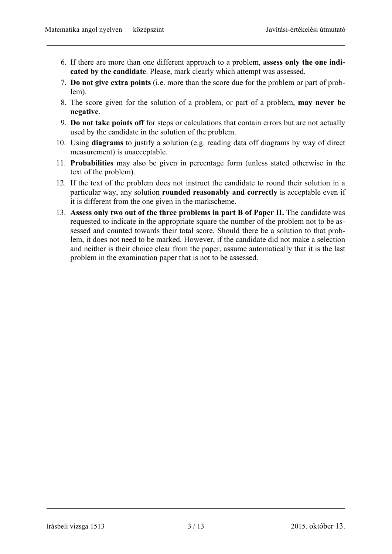- 6. If there are more than one different approach to a problem, **assess only the one indicated by the candidate**. Please, mark clearly which attempt was assessed.
- 7. **Do not give extra points** (i.e. more than the score due for the problem or part of problem).
- 8. The score given for the solution of a problem, or part of a problem, **may never be negative**.
- 9. **Do not take points off** for steps or calculations that contain errors but are not actually used by the candidate in the solution of the problem.
- 10. Using **diagrams** to justify a solution (e.g. reading data off diagrams by way of direct measurement) is unacceptable.
- 11. **Probabilities** may also be given in percentage form (unless stated otherwise in the text of the problem).
- 12. If the text of the problem does not instruct the candidate to round their solution in a particular way, any solution **rounded reasonably and correctly** is acceptable even if it is different from the one given in the markscheme.
- 13. **Assess only two out of the three problems in part B of Paper II.** The candidate was requested to indicate in the appropriate square the number of the problem not to be assessed and counted towards their total score. Should there be a solution to that problem, it does not need to be marked. However, if the candidate did not make a selection and neither is their choice clear from the paper, assume automatically that it is the last problem in the examination paper that is not to be assessed.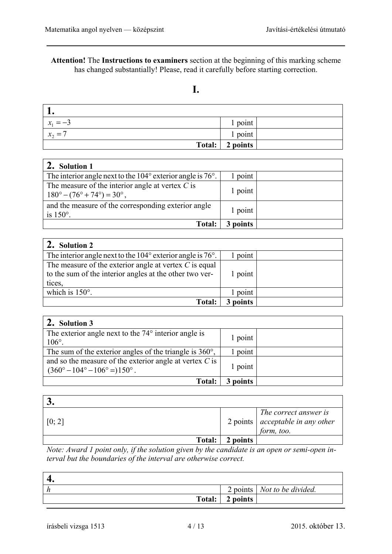**Attention!** The **Instructions to examiners** section at the beginning of this marking scheme has changed substantially! Please, read it carefully before starting correction.

## **I.**

| ı.                       |           |  |
|--------------------------|-----------|--|
| $\mathcal{X}_1$<br>$=-3$ | $1$ point |  |
| $x_2 =$                  | 1 point   |  |
| Total:                   | 2 points  |  |

| 2. Solution 1                                                                                                  |         |  |
|----------------------------------------------------------------------------------------------------------------|---------|--|
| The interior angle next to the $104^{\circ}$ exterior angle is 76 $^{\circ}$ .                                 | 1 point |  |
| The measure of the interior angle at vertex $C$ is<br>$180^{\circ} - (76^{\circ} + 74^{\circ}) = 30^{\circ}$ , | 1 point |  |
| and the measure of the corresponding exterior angle<br>is $150^\circ$ .                                        | 1 point |  |
| <b>Total:</b>                                                                                                  | points  |  |

| 2. Solution 2                                                                  |         |  |
|--------------------------------------------------------------------------------|---------|--|
| The interior angle next to the $104^{\circ}$ exterior angle is 76 $^{\circ}$ . | point   |  |
| The measure of the exterior angle at vertex $C$ is equal                       |         |  |
| to the sum of the interior angles at the other two ver-                        | 1 point |  |
| tices.                                                                         |         |  |
| which is $150^\circ$ .                                                         | point   |  |
| <b>Total:</b>                                                                  | points  |  |

| 2. Solution 3                                                                                                           |          |  |
|-------------------------------------------------------------------------------------------------------------------------|----------|--|
| The exterior angle next to the $74^{\circ}$ interior angle is<br>$106^\circ$ .                                          | 1 point  |  |
| The sum of the exterior angles of the triangle is $360^{\circ}$ ,                                                       | 1 point  |  |
| and so the measure of the exterior angle at vertex $C$ is<br>$(360^{\circ} - 104^{\circ} - 106^{\circ} = 150^{\circ}$ . | 1 point  |  |
| <b>Total:</b>                                                                                                           | 3 points |  |

| ັ             |          |                                                                                 |
|---------------|----------|---------------------------------------------------------------------------------|
| $\mid [0; 2]$ |          | The correct answer is<br>2 points $\vert$ acceptable in any other<br>form, too. |
| Total:        | 2 points |                                                                                 |

*Note: Award 1 point only, if the solution given by the candidate is an open or semi-open interval but the boundaries of the interval are otherwise correct.* 

|        |          | 2 points   <i>Not to be divided.</i> |
|--------|----------|--------------------------------------|
| Total: | 2 points |                                      |
|        |          |                                      |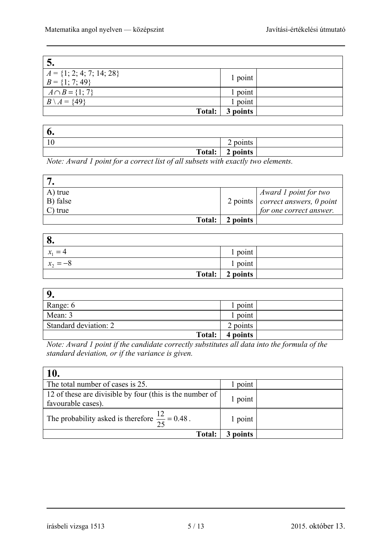$\overline{\phantom{0}}$ 

| 5.                                                 |          |  |
|----------------------------------------------------|----------|--|
| $A = \{1; 2; 4; 7; 14; 28\}$<br>$B = \{1, 7, 49\}$ | 1 point  |  |
| $A \cap B = \{1, 7\}$                              | point    |  |
| $B \setminus A = \{49\}$                           | 1 point  |  |
| <b>Total:</b>                                      | 3 points |  |

| b.     |                       |  |
|--------|-----------------------|--|
| 10     | points<br>$\sim$<br>∼ |  |
| Total: | 2 points              |  |

*Note: Award 1 point for a correct list of all subsets with exactly two elements.* 

| A) true<br>B) false<br>$C$ ) true |          | Award 1 point for two<br>2 points $\vert$ correct answers, 0 point<br>for one correct answer. |
|-----------------------------------|----------|-----------------------------------------------------------------------------------------------|
| Total:                            | 2 points |                                                                                               |

| 8.         |                 |  |
|------------|-----------------|--|
| $x_1 = 4$  | 1 point         |  |
| $x_2 = -8$ | 1 point         |  |
|            | Total: 2 points |  |

| Range: 6              | point    |  |
|-----------------------|----------|--|
| Mean: 3               | point    |  |
| Standard deviation: 2 | 2 points |  |
| Total:                | 4 points |  |

*Note: Award 1 point if the candidate correctly substitutes all data into the formula of the standard deviation, or if the variance is given.* 

| 10.                                                                            |          |  |
|--------------------------------------------------------------------------------|----------|--|
| The total number of cases is 25.                                               | 1 point  |  |
| 12 of these are divisible by four (this is the number of<br>favourable cases). | 1 point  |  |
| The probability asked is therefore $\frac{12}{25} = 0.48$ .                    | 1 point  |  |
| Total:                                                                         | 3 points |  |

írásbeli vizsga 1513 5 / 13 2015. október 13.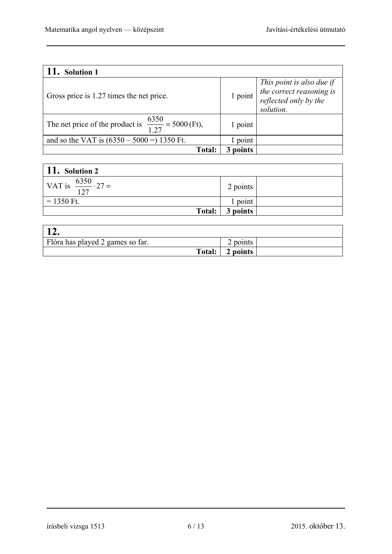| <b>Solution 1</b>                                                |         |                                                                                             |  |
|------------------------------------------------------------------|---------|---------------------------------------------------------------------------------------------|--|
| Gross price is 1.27 times the net price.                         | 1 point | This point is also due if<br>the correct reasoning is<br>reflected only by the<br>solution. |  |
| The net price of the product is $\frac{6350}{1.27}$ = 5000 (Ft), | 1 point |                                                                                             |  |
| and so the VAT is $(6350 - 5000) = 1350$ Ft.                     | point   |                                                                                             |  |
| <b>Total:</b>                                                    | points  |                                                                                             |  |

| $\vert$ 11. Solution 2               |          |  |
|--------------------------------------|----------|--|
| VAT is $\frac{6350}{127} \cdot 27 =$ | 2 points |  |
| $= 1350$ Ft.                         | 1 point  |  |
| Total:                               | 3 points |  |

| Flóra has played 2 games so far. |        | points   |  |
|----------------------------------|--------|----------|--|
|                                  | Total: | 2 points |  |

írásbeli vizsga 1513 6 / 13 2015. október 13.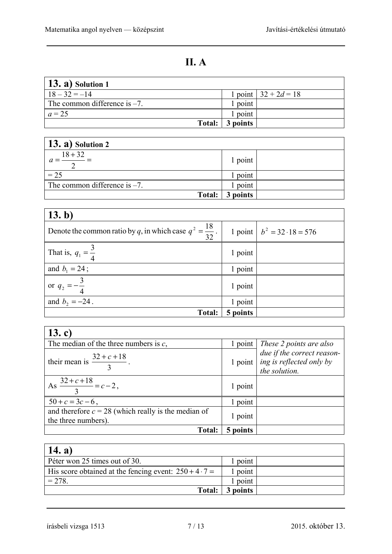| $(13. a)$ Solution 1            |                 |                          |
|---------------------------------|-----------------|--------------------------|
| $18 - 32 = -14$                 |                 | 1 point   $32 + 2d = 18$ |
| The common difference is $-7$ . | point           |                          |
| $a = 25$                        | point           |                          |
|                                 | Total: 3 points |                          |

| $13. a)$ Solution 2             |          |  |
|---------------------------------|----------|--|
| $\frac{18+32}{ }=$              | 1 point  |  |
| $= 25$                          | point    |  |
| The common difference is $-7$ . | 1 point  |  |
| <b>Total:</b>                   | 3 points |  |

| 13. b)                                                              |          |                                   |
|---------------------------------------------------------------------|----------|-----------------------------------|
| Denote the common ratio by q, in which case $q^2 = \frac{18}{32}$ . |          | 1 point $b^2 = 32 \cdot 18 = 576$ |
| That is, $q_1 = \frac{3}{4}$                                        | 1 point  |                                   |
| and $b_1 = 24$ ;                                                    | 1 point  |                                   |
| or $q_2 = -\frac{3}{4}$                                             | 1 point  |                                   |
| and $b_2 = -24$ .                                                   | 1 point  |                                   |
| <b>Total:</b>                                                       | 5 points |                                   |

| 13. c)                                                                       |                 |                                                                                               |
|------------------------------------------------------------------------------|-----------------|-----------------------------------------------------------------------------------------------|
| The median of the three numbers is $c$ ,                                     | 1 point $\vert$ | These 2 points are also                                                                       |
| their mean is $\frac{32+c+18}{2}$ .                                          |                 | due if the correct reason-<br>1 point $\int$ <i>ing is reflected only by</i><br>the solution. |
| $\frac{32+c+18}{c-2} = c-2$ ,<br>As                                          | 1 point         |                                                                                               |
| $50 + c = 3c - 6$ ,                                                          | 1 point         |                                                                                               |
| and therefore $c = 28$ (which really is the median of<br>the three numbers). | 1 point         |                                                                                               |
| <b>Total:</b>                                                                | 5 points        |                                                                                               |

| 14. a)                                                       |        |  |
|--------------------------------------------------------------|--------|--|
| Péter won 25 times out of 30.                                | point  |  |
| His score obtained at the fencing event: $250 + 4 \cdot 7 =$ | point  |  |
| $= 278.$                                                     | point  |  |
| <b>Total:</b>                                                | points |  |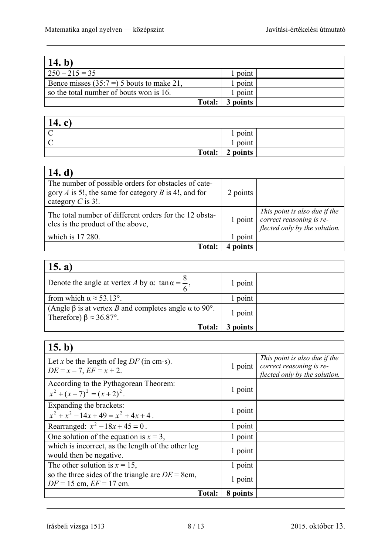| 14. b)                                     |        |        |  |
|--------------------------------------------|--------|--------|--|
| $250 - 215 = 35$                           |        | point  |  |
| Bence misses $(35:7=) 5$ bouts to make 21, |        | point  |  |
| so the total number of bouts won is 16.    |        | point  |  |
|                                            | Total: | points |  |

| 14.c)  |                   |  |
|--------|-------------------|--|
|        | point             |  |
|        | $\lrcorner$ point |  |
| Total: | 2 points          |  |

## $\sqrt{14}$

| 14. $d)$                                                                                                                                          |          |                                                                                            |
|---------------------------------------------------------------------------------------------------------------------------------------------------|----------|--------------------------------------------------------------------------------------------|
| The number of possible orders for obstacles of cate-<br>gory <i>A</i> is 5!, the same for category <i>B</i> is 4!, and for<br>category $C$ is 3!. | 2 points |                                                                                            |
| The total number of different orders for the 12 obsta-<br>cles is the product of the above,                                                       | 1 point  | This point is also due if the<br>correct reasoning is re-<br>flected only by the solution. |
| which is 17 280.                                                                                                                                  | point    |                                                                                            |
| <b>Total:</b>                                                                                                                                     | points   |                                                                                            |

| 15. a)                                                                                                    |         |  |
|-----------------------------------------------------------------------------------------------------------|---------|--|
| Denote the angle at vertex A by $\alpha$ : $\tan \alpha = \frac{6}{6}$ ,                                  | 1 point |  |
| from which $\alpha \approx 53.13^{\circ}$ .                                                               | point   |  |
| (Angle $\beta$ is at vertex B and completes angle $\alpha$ to 90°.<br>Therefore) $\beta \approx 36.87$ °. | 1 point |  |
| <b>Total:</b>                                                                                             | points  |  |

## $\overline{15}$  **h**)

| 15. $b$ )                                                                          |          |                                                                                            |
|------------------------------------------------------------------------------------|----------|--------------------------------------------------------------------------------------------|
| Let x be the length of leg $DF$ (in cm-s).<br>$DE = x - 7$ , $EF = x + 2$ .        | 1 point  | This point is also due if the<br>correct reasoning is re-<br>flected only by the solution. |
| According to the Pythagorean Theorem:<br>$x^{2} + (x - 7)^{2} = (x + 2)^{2}$ .     | 1 point  |                                                                                            |
| Expanding the brackets:<br>$x^{2} + x^{2} - 14x + 49 = x^{2} + 4x + 4$             | 1 point  |                                                                                            |
| Rearranged: $x^2 - 18x + 45 = 0$ .                                                 | 1 point  |                                                                                            |
| One solution of the equation is $x = 3$ ,                                          | 1 point  |                                                                                            |
| which is incorrect, as the length of the other leg<br>would then be negative.      | 1 point  |                                                                                            |
| The other solution is $x = 15$ ,                                                   | 1 point  |                                                                                            |
| so the three sides of the triangle are $DE = 8$ cm,<br>$DF = 15$ cm, $EF = 17$ cm. | 1 point  |                                                                                            |
| <b>Total:</b>                                                                      | 8 points |                                                                                            |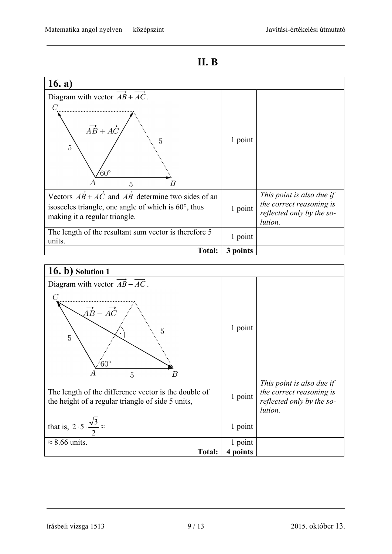### **II. B**



| 16. b) Solution 1                                                                                         |          |                                                                                               |
|-----------------------------------------------------------------------------------------------------------|----------|-----------------------------------------------------------------------------------------------|
| Diagram with vector $AB - \overline{AC}$ .                                                                |          |                                                                                               |
| C<br>$\overrightarrow{AB} - \overrightarrow{AC}$<br>5<br>5<br>$.60^{\circ}$<br>B<br>5                     | 1 point  |                                                                                               |
| The length of the difference vector is the double of<br>the height of a regular triangle of side 5 units, | 1 point  | This point is also due if<br>the correct reasoning is<br>reflected only by the so-<br>lution. |
| that is, $2 \cdot 5 \cdot \frac{\sqrt{3}}{2} \approx$                                                     | 1 point  |                                                                                               |
| $\approx$ 8.66 units.                                                                                     | 1 point  |                                                                                               |
| Total:                                                                                                    | 4 points |                                                                                               |

#### írásbeli vizsga 1513 9 / 13 2015. október 13.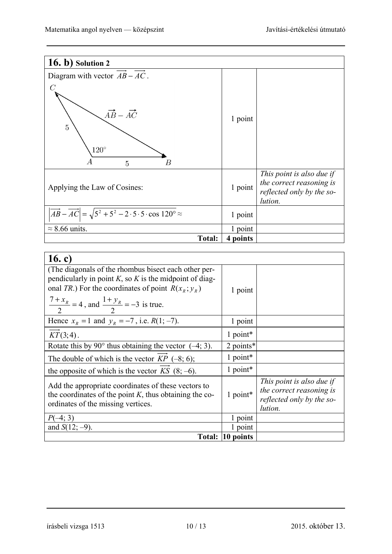| $(16. b)$ Solution 2                                                                                                   |               |          |                                                                                               |
|------------------------------------------------------------------------------------------------------------------------|---------------|----------|-----------------------------------------------------------------------------------------------|
| Diagram with vector $AB - AC$ .                                                                                        |               |          |                                                                                               |
| $\mathcal{C}$<br>$\overrightarrow{AB} - \overrightarrow{AC}$<br>$\overline{5}$<br>$120^\circ$<br>$\boldsymbol{B}$<br>5 |               | 1 point  |                                                                                               |
| Applying the Law of Cosines:                                                                                           |               | 1 point  | This point is also due if<br>the correct reasoning is<br>reflected only by the so-<br>lution. |
| $ \overrightarrow{AB} - \overrightarrow{AC}  = \sqrt{5^2 + 5^2 - 2 \cdot 5 \cdot 5 \cdot \cos 120^\circ} \approx$      |               | 1 point  |                                                                                               |
| $\approx$ 8.66 units.                                                                                                  |               | 1 point  |                                                                                               |
|                                                                                                                        | <b>Total:</b> | 4 points |                                                                                               |

| 16. c)                                                          |                  |                           |
|-----------------------------------------------------------------|------------------|---------------------------|
| (The diagonals of the rhombus bisect each other per-            |                  |                           |
| pendicularly in point $K$ , so $K$ is the midpoint of diag-     |                  |                           |
| onal TR.) For the coordinates of point $R(x_n; y_n)$            | 1 point          |                           |
| $\frac{7 + x_R}{2}$ = 4, and $\frac{1 + y_R}{2}$ = -3 is true.  |                  |                           |
| Hence $x_R = 1$ and $y_R = -7$ , i.e. $R(1, -7)$ .              | 1 point          |                           |
| $KT(3, 4)$ .                                                    | 1 point*         |                           |
| Rotate this by 90 $^{\circ}$ thus obtaining the vector (-4; 3). | 2 points*        |                           |
| The double of which is the vector $KP$ (-8; 6);                 | 1 point*         |                           |
| the opposite of which is the vector $KS$ (8; -6).               | 1 point*         |                           |
| Add the appropriate coordinates of these vectors to             |                  | This point is also due if |
| the coordinates of the point $K$ , thus obtaining the co-       | 1 point*         | the correct reasoning is  |
| ordinates of the missing vertices.                              |                  | reflected only by the so- |
|                                                                 |                  | <i>lution.</i>            |
| $P(-4; 3)$                                                      | 1 point          |                           |
| and $S(12, -9)$ .                                               | 1 point          |                           |
|                                                                 | Total: 10 points |                           |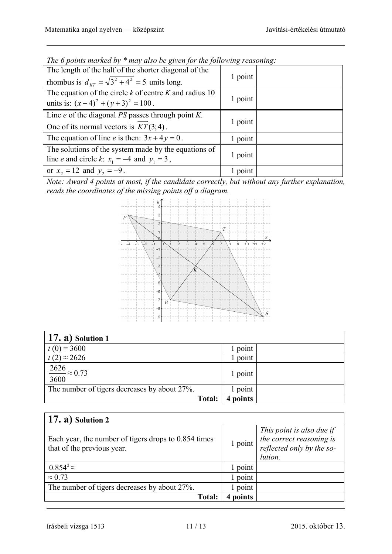| The length of the half of the shorter diagonal of the          |         |  |
|----------------------------------------------------------------|---------|--|
| rhombus is $d_{KT} = \sqrt{3^2 + 4^2} = 5$ units long.         | 1 point |  |
| The equation of the circle $k$ of centre $K$ and radius 10     |         |  |
| units is: $(x-4)^2 + (y+3)^2 = 100$ .                          | 1 point |  |
| Line $e$ of the diagonal PS passes through point $K$ .         |         |  |
| One of its normal vectors is $KT(3, 4)$ .                      | 1 point |  |
| The equation of line <i>e</i> is then: $3x + 4y = 0$ .         | 1 point |  |
| The solutions of the system made by the equations of           |         |  |
| line <i>e</i> and circle <i>k</i> : $x_1 = -4$ and $y_1 = 3$ , | 1 point |  |
| or $x_2 = 12$ and $y_2 = -9$ .                                 | 1 point |  |

*The 6 points marked by \* may also be given for the following reasoning:*

*Note: Award 4 points at most, if the candidate correctly, but without any further explanation, reads the coordinates of the missing points off a diagram.* 



| $(17. a)$ Solution 1                         |          |  |
|----------------------------------------------|----------|--|
| $t(0) = 3600$                                | 1 point  |  |
| $t(2) \approx 262\overline{6}$               | 1 point  |  |
| $\frac{2626}{3600} \approx 0.73$             | 1 point  |  |
| The number of tigers decreases by about 27%. | l point  |  |
| <b>Total:</b>                                | 4 points |  |

| $(17. a)$ Solution 2                                                               |         |                                                                                               |
|------------------------------------------------------------------------------------|---------|-----------------------------------------------------------------------------------------------|
| Each year, the number of tigers drops to 0.854 times<br>that of the previous year. | 1 point | This point is also due if<br>the correct reasoning is<br>reflected only by the so-<br>lution. |
| $0.854^{2} \approx$                                                                | 1 point |                                                                                               |
| $\approx 0.73$                                                                     | 1 point |                                                                                               |
| The number of tigers decreases by about 27%.                                       | l point |                                                                                               |
| <b>Total:</b>                                                                      | points  |                                                                                               |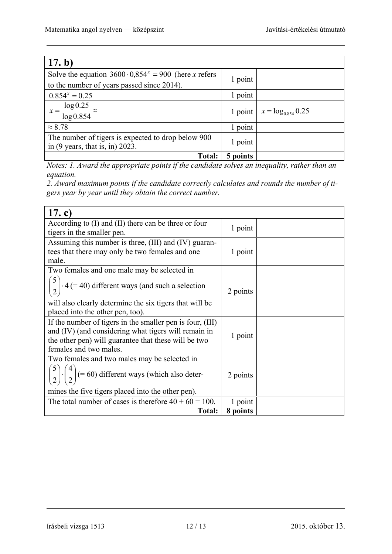| 17. b)                                                       |          |                                |
|--------------------------------------------------------------|----------|--------------------------------|
| Solve the equation $3600 \cdot 0.854^x = 900$ (here x refers | 1 point  |                                |
| to the number of years passed since 2014).                   |          |                                |
| $0.854^{x} = 0.25$                                           | 1 point  |                                |
| $x = \frac{\log 0.25}{\log 0.854} \approx$                   |          | 1 point $x = log_{0.854} 0.25$ |
| $\approx 8.78$                                               | 1 point  |                                |
| The number of tigers is expected to drop below 900           | 1 point  |                                |
| in $(9 \text{ years}, \text{that is}, \text{in}) 2023$ .     |          |                                |
| <b>Total:</b>                                                | 5 points |                                |

*Notes: 1. Award the appropriate points if the candidate solves an inequality, rather than an equation.* 

*2. Award maximum points if the candidate correctly calculates and rounds the number of tigers year by year until they obtain the correct number.*

| 17. $c)$                                                                   |          |  |
|----------------------------------------------------------------------------|----------|--|
| According to (I) and (II) there can be three or four                       | 1 point  |  |
| tigers in the smaller pen.                                                 |          |  |
| Assuming this number is three, (III) and (IV) guaran-                      |          |  |
| tees that there may only be two females and one                            | 1 point  |  |
| male.                                                                      |          |  |
| Two females and one male may be selected in                                |          |  |
| $\binom{5}{2}$ 4 (= 40) different ways (and such a selection               |          |  |
|                                                                            | 2 points |  |
| will also clearly determine the six tigers that will be                    |          |  |
| placed into the other pen, too).                                           |          |  |
| If the number of tigers in the smaller pen is four, (III)                  |          |  |
| and (IV) (and considering what tigers will remain in                       | 1 point  |  |
| the other pen) will guarantee that these will be two                       |          |  |
| females and two males.                                                     |          |  |
| Two females and two males may be selected in                               |          |  |
|                                                                            |          |  |
| $\binom{5}{2} \cdot \binom{4}{2}$ (= 60) different ways (which also deter- | 2 points |  |
| mines the five tigers placed into the other pen).                          |          |  |
| The total number of cases is therefore $40 + 60 = 100$ .                   | 1 point  |  |
| <b>Total:</b>                                                              | 8 points |  |